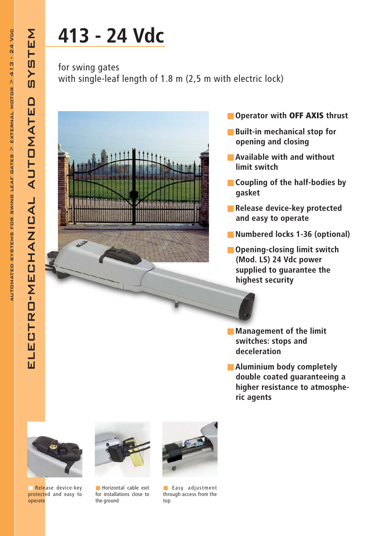electro-mechanical automated system

ELECTRO-MECHANICAL AUTOMATE

STEM

 $\overline{\mathbf{S}}$ 

 $\Box$ 

## 413 - 24 Vdc

for swing gates with single-leaf length of 1.8 m (2,5 m with electric lock)



- Operator with OFF AXIS thrust
- Built-in mechanical stop for opening and closing
- Available with and without limit switch
- Coupling of the half-bodies by gasket
- Release device-key protected and easy to operate
- Numbered locks 1-36 (optional)
- Opening-closing limit switch (Mod. LS) 24 Vdc power supplied to guarantee the highest security
- Management of the limit switches: stops and deceleration
- Aluminium body completely double coated guaranteeing a higher resistance to atmospheric agents



Release device-key protected and easy to operate



■ Horizontal cable exit for installations close to the ground



■ Easy adjustment through access from the top